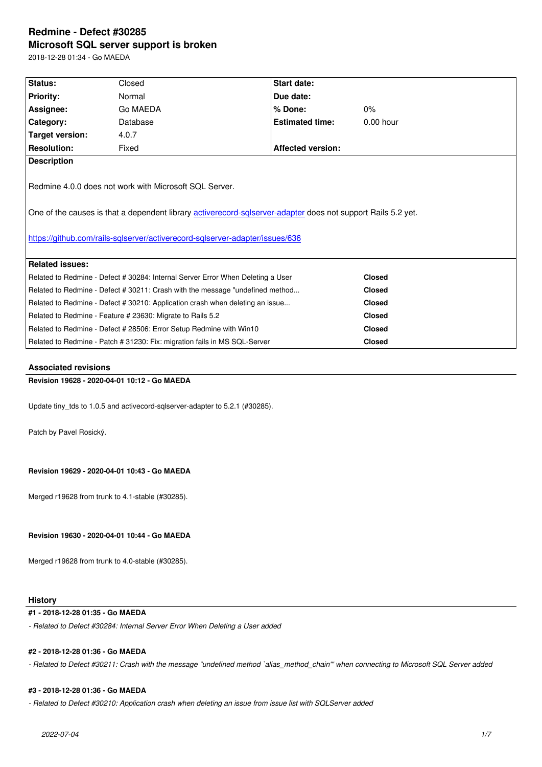#### **Microsoft SQL server support is broken**

2018-12-28 01:34 - Go MAEDA

| Status:                                                                                                                                                                                                                                                | Closed   | Start date:              |               |  |  |
|--------------------------------------------------------------------------------------------------------------------------------------------------------------------------------------------------------------------------------------------------------|----------|--------------------------|---------------|--|--|
| <b>Priority:</b>                                                                                                                                                                                                                                       | Normal   | Due date:                |               |  |  |
| Assignee:                                                                                                                                                                                                                                              | Go MAEDA | % Done:                  | $0\%$         |  |  |
| Category:                                                                                                                                                                                                                                              | Database | <b>Estimated time:</b>   | $0.00$ hour   |  |  |
| Target version:                                                                                                                                                                                                                                        | 4.0.7    |                          |               |  |  |
| <b>Resolution:</b>                                                                                                                                                                                                                                     | Fixed    | <b>Affected version:</b> |               |  |  |
| <b>Description</b>                                                                                                                                                                                                                                     |          |                          |               |  |  |
| Redmine 4.0.0 does not work with Microsoft SQL Server.<br>One of the causes is that a dependent library activerecord-sqlserver-adapter does not support Rails 5.2 yet.<br>https://github.com/rails-sqlserver/activerecord-sqlserver-adapter/issues/636 |          |                          |               |  |  |
| <b>Related issues:</b>                                                                                                                                                                                                                                 |          |                          |               |  |  |
| Related to Redmine - Defect # 30284: Internal Server Error When Deleting a User                                                                                                                                                                        |          |                          | <b>Closed</b> |  |  |
| Related to Redmine - Defect # 30211: Crash with the message "undefined method                                                                                                                                                                          |          |                          | <b>Closed</b> |  |  |
| Related to Redmine - Defect # 30210: Application crash when deleting an issue                                                                                                                                                                          |          |                          | <b>Closed</b> |  |  |
| Related to Redmine - Feature # 23630: Migrate to Rails 5.2                                                                                                                                                                                             |          |                          | <b>Closed</b> |  |  |
| Related to Redmine - Defect # 28506: Error Setup Redmine with Win10                                                                                                                                                                                    |          |                          | <b>Closed</b> |  |  |
| Related to Redmine - Patch # 31230: Fix: migration fails in MS SQL-Server                                                                                                                                                                              |          |                          | <b>Closed</b> |  |  |

## **Associated revisions**

## **Revision 19628 - 2020-04-01 10:12 - Go MAEDA**

Update tiny\_tds to 1.0.5 and activecord-sqlserver-adapter to 5.2.1 (#30285).

Patch by Pavel Rosický.

**Revision 19629 - 2020-04-01 10:43 - Go MAEDA**

Merged r19628 from trunk to 4.1-stable (#30285).

**Revision 19630 - 2020-04-01 10:44 - Go MAEDA**

Merged r19628 from trunk to 4.0-stable (#30285).

## **History**

## **#1 - 2018-12-28 01:35 - Go MAEDA**

*- Related to Defect #30284: Internal Server Error When Deleting a User added*

## **#2 - 2018-12-28 01:36 - Go MAEDA**

*- Related to Defect #30211: Crash with the message "undefined method `alias\_method\_chain'" when connecting to Microsoft SQL Server added*

## **#3 - 2018-12-28 01:36 - Go MAEDA**

*- Related to Defect #30210: Application crash when deleting an issue from issue list with SQLServer added*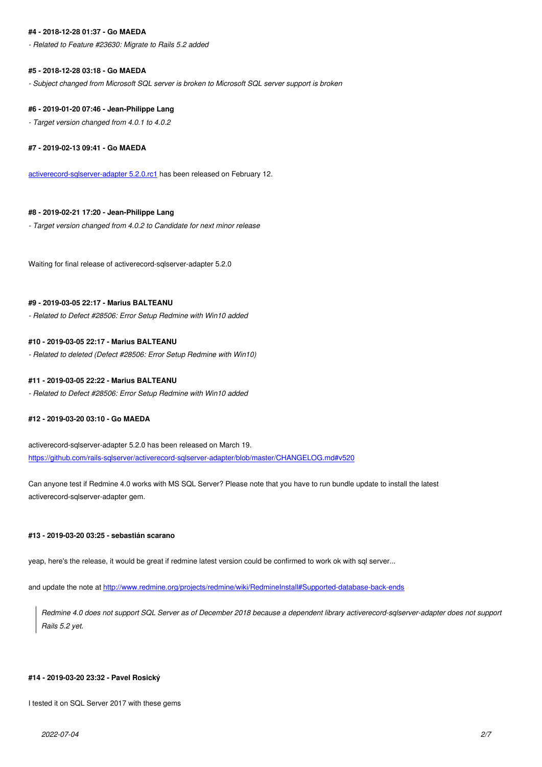*- Related to Feature #23630: Migrate to Rails 5.2 added*

### **#5 - 2018-12-28 03:18 - Go MAEDA**

*- Subject changed from Microsoft SQL server is broken to Microsoft SQL server support is broken*

#### **#6 - 2019-01-20 07:46 - Jean-Philippe Lang**

*- Target version changed from 4.0.1 to 4.0.2*

**#7 - 2019-02-13 09:41 - Go MAEDA**

activerecord-sqlserver-adapter 5.2.0.rc1 has been released on February 12.

## **[#8 - 2019-02-21 17:20 - Jean-Philippe L](https://rubygems.org/gems/activerecord-sqlserver-adapter/versions/5.2.0.rc1)ang**

*- Target version changed from 4.0.2 to Candidate for next minor release*

Waiting for final release of activerecord-sqlserver-adapter 5.2.0

#### **#9 - 2019-03-05 22:17 - Marius BALTEANU**

*- Related to Defect #28506: Error Setup Redmine with Win10 added*

## **#10 - 2019-03-05 22:17 - Marius BALTEANU**

*- Related to deleted (Defect #28506: Error Setup Redmine with Win10)*

## **#11 - 2019-03-05 22:22 - Marius BALTEANU**

*- Related to Defect #28506: Error Setup Redmine with Win10 added*

#### **#12 - 2019-03-20 03:10 - Go MAEDA**

activerecord-sqlserver-adapter 5.2.0 has been released on March 19. https://github.com/rails-sqlserver/activerecord-sqlserver-adapter/blob/master/CHANGELOG.md#v520

Can anyone test if Redmine 4.0 works with MS SQL Server? Please note that you have to run bundle update to install the latest [activerecord-sqlserver-adapter gem.](https://github.com/rails-sqlserver/activerecord-sqlserver-adapter/blob/master/CHANGELOG.md#v520)

## **#13 - 2019-03-20 03:25 - sebastián scarano**

yeap, here's the release, it would be great if redmine latest version could be confirmed to work ok with sql server...

and update the note at http://www.redmine.org/projects/redmine/wiki/RedmineInstall#Supported-database-back-ends

*Redmine 4.0 does not support SQL Server as of December 2018 because a dependent library activerecord-sqlserver-adapter does not support Rails 5.2 yet.*

## **#14 - 2019-03-20 23:32 - Pavel Rosický**

I tested it on SQL Server 2017 with these gems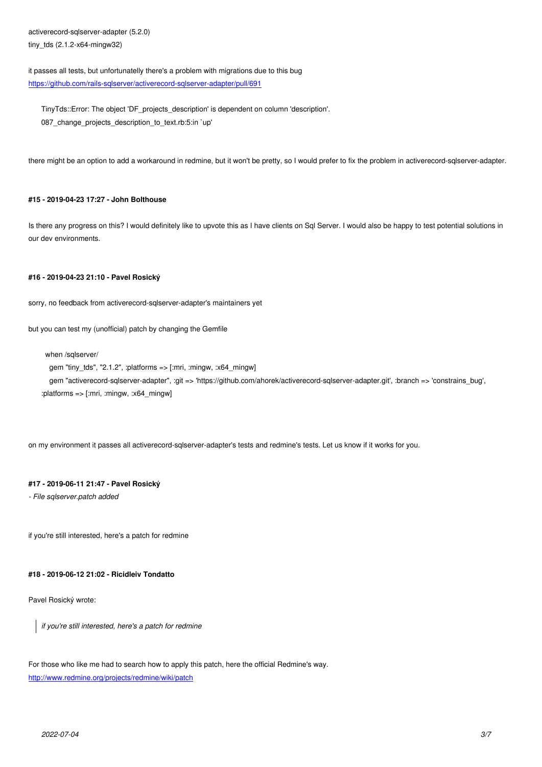$t$ uny\_ $\alpha$ s (2.1.2- $\alpha$ 04-mingwo2)

it passes all tests, but unfortunatelly there's a problem with migrations due to this bug https://github.com/rails-sqlserver/activerecord-sqlserver-adapter/pull/691

TinyTds::Error: The object 'DF\_projects\_description' is dependent on column 'description'. 087 change projects description to text.rb:5:in `up'

there might be an option to add a workaround in redmine, but it won't be pretty, so I would prefer to fix the problem in activerecord-sqlserver-adapter.

## **#15 - 2019-04-23 17:27 - John Bolthouse**

Is there any progress on this? I would definitely like to upvote this as I have clients on Sql Server. I would also be happy to test potential solutions in our dev environments.

## **#16 - 2019-04-23 21:10 - Pavel Rosický**

sorry, no feedback from activerecord-sqlserver-adapter's maintainers yet

but you can test my (unofficial) patch by changing the Gemfile

when /sqlserver/

```
gem "tiny_tds", "2.1.2", :platforms => [:mir, :minqw, :x64 mingw]
   gem "activerecord-sqlserver-adapter", :git => 'https://github.com/ahorek/activerecord-sqlserver-adapter.git', :branch => 'constrains_bug',
:platforms => [:mri, :mingw, :x64_mingw]
```
on my environment it passes all activerecord-sqlserver-adapter's tests and redmine's tests. Let us know if it works for you.

## **#17 - 2019-06-11 21:47 - Pavel Rosický**

*- File sqlserver.patch added*

if you're still interested, here's a patch for redmine

#### **#18 - 2019-06-12 21:02 - Ricidleiv Tondatto**

Pavel Rosický wrote:

*if you're still interested, here's a patch for redmine*

For those who like me had to search how to apply this patch, here the official Redmine's way. http://www.redmine.org/projects/redmine/wiki/patch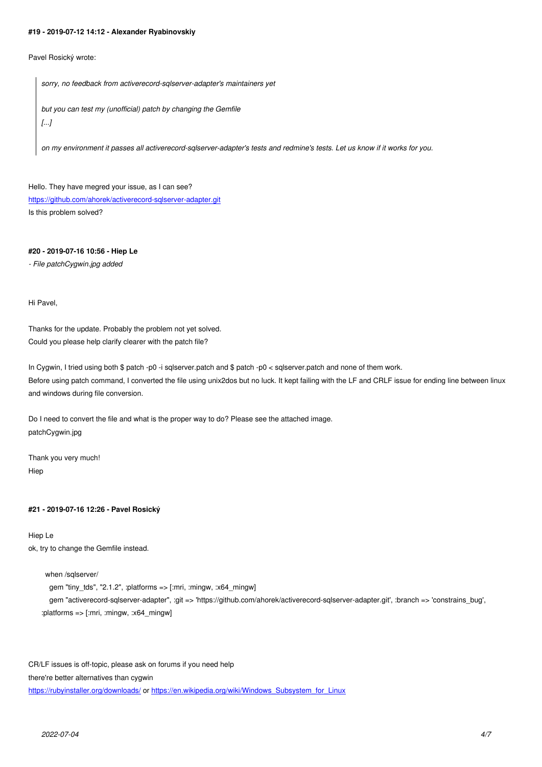Pavel Rosický wrote:

*sorry, no feedback from activerecord-sqlserver-adapter's maintainers yet*

*but you can test my (unofficial) patch by changing the Gemfile [...]*

*on my environment it passes all activerecord-sqlserver-adapter's tests and redmine's tests. Let us know if it works for you.*

Hello. They have megred your issue, as I can see? https://github.com/ahorek/activerecord-sqlserver-adapter.git Is this problem solved?

## **[#20 - 2019-07-16 10:56 - Hiep Le](https://github.com/ahorek/activerecord-sqlserver-adapter.git)**

*- File patchCygwin.jpg added*

Hi Pavel,

Thanks for the update. Probably the problem not yet solved. Could you please help clarify clearer with the patch file?

In Cygwin, I tried using both \$ patch -p0 -i sqlserver.patch and \$ patch -p0 < sqlserver.patch and none of them work. Before using patch command, I converted the file using unix2dos but no luck. It kept failing with the LF and CRLF issue for ending line between linux and windows during file conversion.

Do I need to convert the file and what is the proper way to do? Please see the attached image. patchCygwin.jpg

Thank you very much! Hiep

## **#21 - 2019-07-16 12:26 - Pavel Rosický**

Hiep Le ok, try to change the Gemfile instead.

when /sqlserver/

 gem "tiny\_tds", "2.1.2", :platforms => [:mri, :mingw, :x64\_mingw] gem "activerecord-sqlserver-adapter", :git => 'https://github.com/ahorek/activerecord-sqlserver-adapter.git', :branch => 'constrains\_bug', :platforms => [:mri, :mingw, :x64\_mingw]

CR/LF issues is off-topic, please ask on forums if you need help there're better alternatives than cygwin https://rubyinstaller.org/downloads/ or https://en.wikipedia.org/wiki/Windows\_Subsystem\_for\_Linux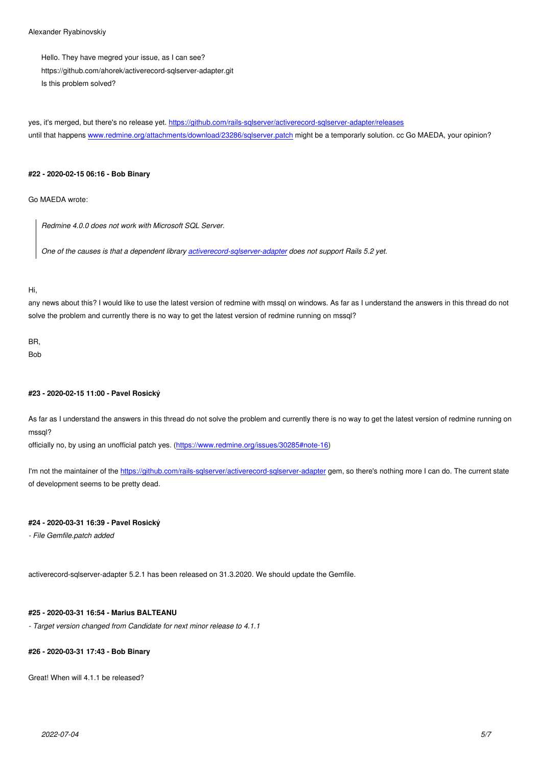Hello. They have megred your issue, as I can see? https://github.com/ahorek/activerecord-sqlserver-adapter.git Is this problem solved?

yes, it's merged, but there's no release yet. https://github.com/rails-sqlserver/activerecord-sqlserver-adapter/releases until that happens www.redmine.org/attachments/download/23286/sqlserver.patch might be a temporarly solution. cc Go MAEDA, your opinion?

## **#22 - 2020-02-15 [06:16 - Bob Binary](http://www.redmine.org/attachments/download/23286/sqlserver.patch)**

Go MAEDA wrote:

*Redmine 4.0.0 does not work with Microsoft SQL Server.*

*One of the causes is that a dependent library activerecord-sqlserver-adapter does not support Rails 5.2 yet.*

## Hi,

any news about this? I would like to use the latest [version of redmine with mssql](https://github.com/rails-sqlserver/activerecord-sqlserver-adapter) on windows. As far as I understand the answers in this thread do not solve the problem and currently there is no way to get the latest version of redmine running on mssql?

## BR,

**Bob** 

## **#23 - 2020-02-15 11:00 - Pavel Rosický**

As far as I understand the answers in this thread do not solve the problem and currently there is no way to get the latest version of redmine running on mssql?

officially no, by using an unofficial patch yes. (https://www.redmine.org/issues/30285#note-16)

I'm not the maintainer of the https://github.com/rails-sqlserver/activerecord-sqlserver-adapter gem, so there's nothing more I can do. The current state of development seems to be pretty dead.

## **#24 - 2020-03-31 16:39 - P[avel Rosický](https://github.com/rails-sqlserver/activerecord-sqlserver-adapter)**

*- File Gemfile.patch added*

activerecord-sqlserver-adapter 5.2.1 has been released on 31.3.2020. We should update the Gemfile.

## **#25 - 2020-03-31 16:54 - Marius BALTEANU**

*- Target version changed from Candidate for next minor release to 4.1.1*

## **#26 - 2020-03-31 17:43 - Bob Binary**

Great! When will 4.1.1 be released?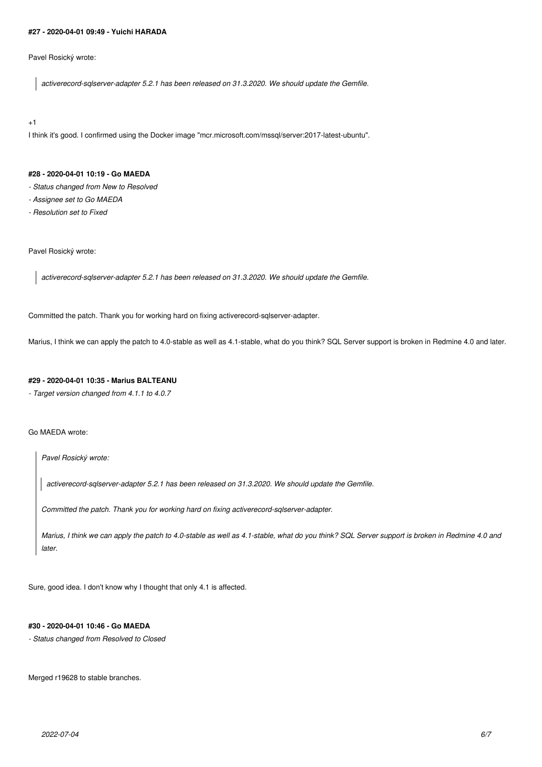### **#27 - 2020-04-01 09:49 - Yuichi HARADA**

Pavel Rosický wrote:

*activerecord-sqlserver-adapter 5.2.1 has been released on 31.3.2020. We should update the Gemfile.*

+1

I think it's good. I confirmed using the Docker image "mcr.microsoft.com/mssql/server:2017-latest-ubuntu".

## **#28 - 2020-04-01 10:19 - Go MAEDA**

- *Status changed from New to Resolved*
- *Assignee set to Go MAEDA*
- *Resolution set to Fixed*

## Pavel Rosický wrote:

*activerecord-sqlserver-adapter 5.2.1 has been released on 31.3.2020. We should update the Gemfile.*

Committed the patch. Thank you for working hard on fixing activerecord-sqlserver-adapter.

Marius, I think we can apply the patch to 4.0-stable as well as 4.1-stable, what do you think? SQL Server support is broken in Redmine 4.0 and later.

## **#29 - 2020-04-01 10:35 - Marius BALTEANU**

*- Target version changed from 4.1.1 to 4.0.7*

Go MAEDA wrote:

*Pavel Rosický wrote:*

*activerecord-sqlserver-adapter 5.2.1 has been released on 31.3.2020. We should update the Gemfile.*

*Committed the patch. Thank you for working hard on fixing activerecord-sqlserver-adapter.*

*Marius, I think we can apply the patch to 4.0-stable as well as 4.1-stable, what do you think? SQL Server support is broken in Redmine 4.0 and later.*

Sure, good idea. I don't know why I thought that only 4.1 is affected.

## **#30 - 2020-04-01 10:46 - Go MAEDA**

*- Status changed from Resolved to Closed*

Merged r19628 to stable branches.